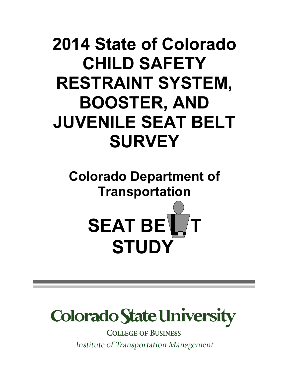# **2014 State of Colorado CHILD SAFETY RESTRAINT SYSTEM, BOOSTER, AND JUVENILE SEAT BELT SURVEY**

**Colorado Department of Transportation**





**COLLEGE OF BUSINESS** Institute of Transportation Management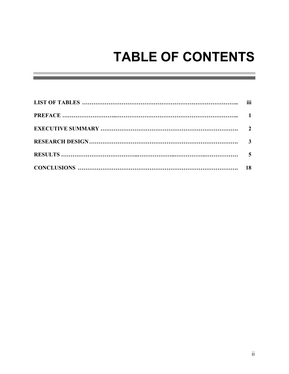# **TABLE OF CONTENTS**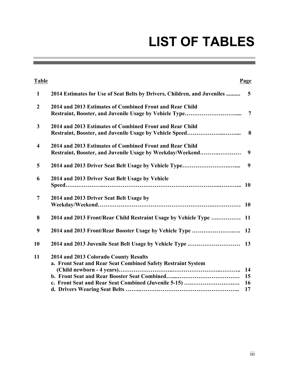# **LIST OF TABLES**

the control of the control of the control of

| <b>Table</b>   |                                                                                                                                                                                            | Page                        |
|----------------|--------------------------------------------------------------------------------------------------------------------------------------------------------------------------------------------|-----------------------------|
| 1              | 2014 Estimates for Use of Seat Belts by Drivers, Children, and Juveniles                                                                                                                   | 5                           |
| $\overline{2}$ | 2014 and 2013 Estimates of Combined Front and Rear Child                                                                                                                                   | $\overline{7}$              |
| $\mathbf{3}$   | 2014 and 2013 Estimates of Combined Front and Rear Child                                                                                                                                   | 8                           |
| $\overline{4}$ | 2014 and 2013 Estimates of Combined Front and Rear Child<br>Restraint, Booster, and Juvenile Usage by Weekday/Weekend                                                                      | 9                           |
| 5              |                                                                                                                                                                                            | 9                           |
| 6              | 2014 and 2013 Driver Seat Belt Usage by Vehicle                                                                                                                                            |                             |
| $\overline{7}$ | 2014 and 2013 Driver Seat Belt Usage by                                                                                                                                                    | <b>10</b>                   |
| 8              | 2014 and 2013 Front/Rear Child Restraint Usage by Vehicle Type                                                                                                                             | <b>11</b>                   |
| 9              |                                                                                                                                                                                            |                             |
| 10             | 2014 and 2013 Juvenile Seat Belt Usage by Vehicle Type                                                                                                                                     | 13                          |
| 11             | 2014 and 2013 Colorado County Results<br>a. Front Seat and Rear Seat Combined Safety Restraint System<br>(Child newborn - 4 years)<br>c. Front Seat and Rear Seat Combined (Juvenile 5-15) | 14<br>15<br><b>16</b><br>17 |

a sa kacamatan ing Kabupatèn Kabupatèn Kabupatèn Kabupatèn Kabupatèn Kabupatèn Kabupatèn Kabupatèn Kabupatèn K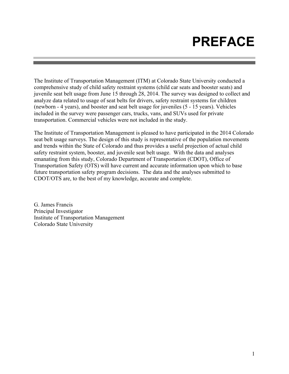# **PREFACE**

The Institute of Transportation Management (ITM) at Colorado State University conducted a comprehensive study of child safety restraint systems (child car seats and booster seats) and juvenile seat belt usage from June 15 through 28, 2014. The survey was designed to collect and analyze data related to usage of seat belts for drivers, safety restraint systems for children (newborn - 4 years), and booster and seat belt usage for juveniles (5 - 15 years). Vehicles included in the survey were passenger cars, trucks, vans, and SUVs used for private transportation. Commercial vehicles were not included in the study.

The Institute of Transportation Management is pleased to have participated in the 2014 Colorado seat belt usage surveys. The design of this study is representative of the population movements and trends within the State of Colorado and thus provides a useful projection of actual child safety restraint system, booster, and juvenile seat belt usage. With the data and analyses emanating from this study, Colorado Department of Transportation (CDOT), Office of Transportation Safety (OTS) will have current and accurate information upon which to base future transportation safety program decisions. The data and the analyses submitted to CDOT/OTS are, to the best of my knowledge, accurate and complete.

G. James Francis Principal Investigator Institute of Transportation Management Colorado State University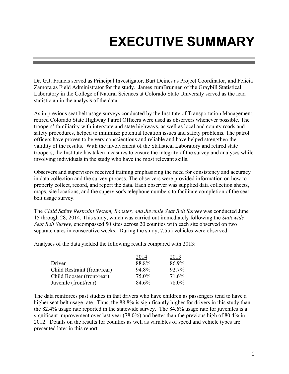# **EXECUTIVE SUMMARY**

Dr. G.J. Francis served as Principal Investigator, Burt Deines as Project Coordinator, and Felicia Zamora as Field Administrator for the study. James zumBrunnen of the Graybill Statistical Laboratory in the College of Natural Sciences at Colorado State University served as the lead statistician in the analysis of the data.

As in previous seat belt usage surveys conducted by the Institute of Transportation Management, retired Colorado State Highway Patrol Officers were used as observers whenever possible. The troopers' familiarity with interstate and state highways, as well as local and county roads and safety procedures, helped to minimize potential location issues and safety problems. The patrol officers have proven to be very conscientious and reliable and have helped strengthen the validity of the results. With the involvement of the Statistical Laboratory and retired state troopers, the Institute has taken measures to ensure the integrity of the survey and analyses while involving individuals in the study who have the most relevant skills.

Observers and supervisors received training emphasizing the need for consistency and accuracy in data collection and the survey process. The observers were provided information on how to properly collect, record, and report the data. Each observer was supplied data collection sheets, maps, site locations, and the supervisor's telephone numbers to facilitate completion of the seat belt usage survey.

The *Child Safety Restraint System, Booster, and Juvenile Seat Belt Survey* was conducted June 15 through 28, 2014. This study, which was carried out immediately following the *Statewide Seat Belt Survey*, encompassed 50 sites across 20 counties with each site observed on two separate dates in consecutive weeks. During the study, 7,555 vehicles were observed.

Analyses of the data yielded the following results compared with 2013:

|                              | 2014  | 2013     |
|------------------------------|-------|----------|
| Driver                       | 88.8% | 86.9%    |
| Child Restraint (front/rear) | 94.8% | $92.7\%$ |
| Child Booster (front/rear)   | 75.0% | 71.6%    |
| Juvenile (front/rear)        | 84.6% | 78.0%    |

The data reinforces past studies in that drivers who have children as passengers tend to have a higher seat belt usage rate. Thus, the 88.8% is significantly higher for drivers in this study than the 82.4% usage rate reported in the statewide survey. The 84.6% usage rate for juveniles is a significant improvement over last year (78.0%) and better than the previous high of 80.4% in 2012. Details on the results for counties as well as variables of speed and vehicle types are presented later in this report.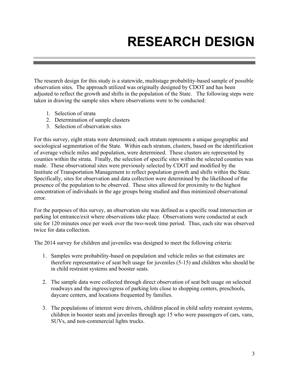# **RESEARCH DESIGN**

The research design for this study is a statewide, multistage probability-based sample of possible observation sites. The approach utilized was originally designed by CDOT and has been adjusted to reflect the growth and shifts in the population of the State. The following steps were taken in drawing the sample sites where observations were to be conducted:

- 1. Selection of strata
- 2. Determination of sample clusters
- 3. Selection of observation sites

For this survey, eight strata were determined; each stratum represents a unique geographic and sociological segmentation of the State. Within each stratum, clusters, based on the identification of average vehicle miles and population, were determined. These clusters are represented by counties within the strata. Finally, the selection of specific sites within the selected counties was made. These observational sites were previously selected by CDOT and modified by the Institute of Transportation Management to reflect population growth and shifts within the State. Specifically, sites for observation and data collection were determined by the likelihood of the presence of the population to be observed. These sites allowed for proximity to the highest concentration of individuals in the age groups being studied and thus minimized observational error.

For the purposes of this survey, an observation site was defined as a specific road intersection or parking lot entrance/exit where observations take place. Observations were conducted at each site for 120 minutes once per week over the two-week time period. Thus, each site was observed twice for data collection.

The 2014 survey for children and juveniles was designed to meet the following criteria:

- 1. Samples were probability-based on population and vehicle miles so that estimates are therefore representative of seat belt usage for juveniles (5-15) and children who should be in child restraint systems and booster seats.
- 2. The sample data were collected through direct observation of seat belt usage on selected roadways and the ingress/egress of parking lots close to shopping centers, preschools, daycare centers, and locations frequented by families.
- 3. The populations of interest were drivers, children placed in child safety restraint systems, children in booster seats and juveniles through age 15 who were passengers of cars, vans, SUVs, and non-commercial lights trucks.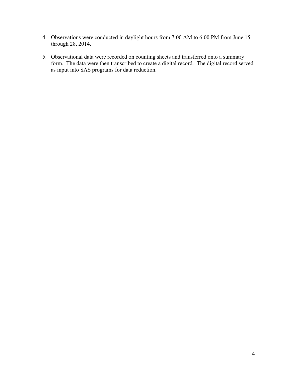- 4. Observations were conducted in daylight hours from 7:00 AM to 6:00 PM from June 15 through 28, 2014.
- 5. Observational data were recorded on counting sheets and transferred onto a summary form. The data were then transcribed to create a digital record. The digital record served as input into SAS programs for data reduction.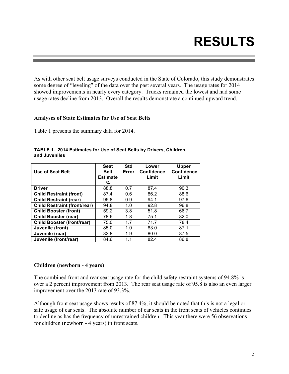# **RESULTS**

As with other seat belt usage surveys conducted in the State of Colorado, this study demonstrates some degree of "leveling" of the data over the past several years. The usage rates for 2014 showed improvements in nearly every category. Trucks remained the lowest and had some usage rates decline from 2013. Overall the results demonstrate a continued upward trend.

#### **Analyses of State Estimates for Use of Seat Belts**

Table 1 presents the summary data for 2014.

| Use of Seat Belt                    | <b>Seat</b><br><b>Belt</b><br><b>Estimate</b><br>% | <b>Std</b><br>Error | Lower<br><b>Confidence</b><br>Limit | <b>Upper</b><br><b>Confidence</b><br>Limit |
|-------------------------------------|----------------------------------------------------|---------------------|-------------------------------------|--------------------------------------------|
| <b>Driver</b>                       | 88.8                                               | 0.7                 | 87.4                                | 90.3                                       |
| <b>Child Restraint (front)</b>      | 87.4                                               | 0.6                 | 86.2                                | 88.6                                       |
| <b>Child Restraint (rear)</b>       | 95.8                                               | 0.9                 | 94.1                                | 97.6                                       |
| <b>Child Restraint (front/rear)</b> | 94.8                                               | 1.0                 | 92.8                                | 96.8                                       |
| <b>Child Booster (front)</b>        | 59.2                                               | 3.8                 | 51.8                                | 66.7                                       |
| <b>Child Booster (rear)</b>         | 78.6                                               | 1.8                 | 75.1                                | 82.0                                       |
| <b>Child Booster (front/rear)</b>   | 75.0                                               | 1.7                 | 71.7                                | 78.4                                       |
| Juvenile (front)                    | 85.0                                               | 1.0                 | 83.0                                | 87.1                                       |
| Juvenile (rear)                     | 83.8                                               | 1.9                 | 80.0                                | 87.5                                       |
| Juvenile (front/rear)               | 84.6                                               | 1.1                 | 82.4                                | 86.8                                       |

#### **TABLE 1. 2014 Estimates for Use of Seat Belts by Drivers, Children, and Juveniles**

### **Children (newborn - 4 years)**

The combined front and rear seat usage rate for the child safety restraint systems of 94.8% is over a 2 percent improvement from 2013. The rear seat usage rate of 95.8 is also an even larger improvement over the 2013 rate of 93.3%.

Although front seat usage shows results of 87.4%, it should be noted that this is not a legal or safe usage of car seats. The absolute number of car seats in the front seats of vehicles continues to decline as has the frequency of unrestrained children. This year there were 56 observations for children (newborn - 4 years) in front seats.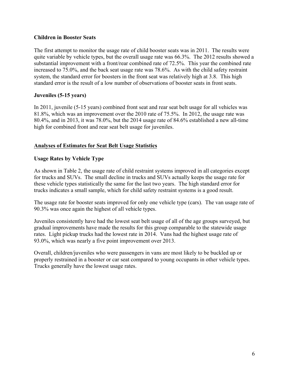### **Children in Booster Seats**

The first attempt to monitor the usage rate of child booster seats was in 2011. The results were quite variable by vehicle types, but the overall usage rate was 66.3%. The 2012 results showed a substantial improvement with a front/rear combined rate of 72.5%. This year the combined rate increased to 75.0%, and the back seat usage rate was 78.6%. As with the child safety restraint system, the standard error for boosters in the front seat was relatively high at 3.8. This high standard error is the result of a low number of observations of booster seats in front seats.

### **Juveniles (5-15 years)**

In 2011, juvenile (5-15 years) combined front seat and rear seat belt usage for all vehicles was 81.8%, which was an improvement over the 2010 rate of 75.5%. In 2012, the usage rate was 80.4%, and in 2013, it was 78.0%, but the 2014 usage rate of 84.6% established a new all-time high for combined front and rear seat belt usage for juveniles.

### **Analyses of Estimates for Seat Belt Usage Statistics**

### **Usage Rates by Vehicle Type**

As shown in Table 2, the usage rate of child restraint systems improved in all categories except for trucks and SUVs. The small decline in trucks and SUVs actually keeps the usage rate for these vehicle types statistically the same for the last two years. The high standard error for trucks indicates a small sample, which for child safety restraint systems is a good result.

The usage rate for booster seats improved for only one vehicle type (cars). The van usage rate of 90.3% was once again the highest of all vehicle types.

Juveniles consistently have had the lowest seat belt usage of all of the age groups surveyed, but gradual improvements have made the results for this group comparable to the statewide usage rates. Light pickup trucks had the lowest rate in 2014. Vans had the highest usage rate of 93.0%, which was nearly a five point improvement over 2013.

Overall, children/juveniles who were passengers in vans are most likely to be buckled up or properly restrained in a booster or car seat compared to young occupants in other vehicle types. Trucks generally have the lowest usage rates.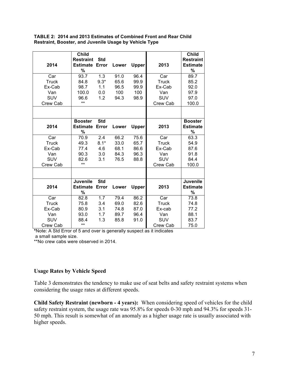|                 | <b>Child</b>     |            |       |              |              | <b>Child</b>     |
|-----------------|------------------|------------|-------|--------------|--------------|------------------|
|                 | <b>Restraint</b> | <b>Std</b> |       |              |              | <b>Restraint</b> |
| 2014            | <b>Estimate</b>  | Error      | Lower | <b>Upper</b> | 2013         | <b>Estimate</b>  |
|                 | %                |            |       |              |              | %                |
| Car             | 93.7             | 1.3        | 91.0  | 96.4         | Car          | 89.7             |
| <b>Truck</b>    | 84.8             | $9.3*$     | 65.6  | 99.9         | <b>Truck</b> | 85.2             |
| Ex-Cab          | 98.7             | 1.1        | 96.5  | 99.9         | Ex-Cab       | 92.0             |
| Van             | 100.0            | 0.0        | 100   | 100          | Van          | 97.9             |
| SUV             | 96.6             | 1.2        | 94.3  | 98.9         | SUV          | 97.0             |
| Crew Cab        | $***$            |            |       |              | Crew Cab     | 100.0            |
|                 |                  |            |       |              |              |                  |
|                 | <b>Booster</b>   | <b>Std</b> |       |              |              | <b>Booster</b>   |
| 2014            | <b>Estimate</b>  | Error      | Lower | <b>Upper</b> | 2013         | <b>Estimate</b>  |
|                 | %                |            |       |              |              | %                |
| Car             | 70.9             | 2.4        | 66.2  | 75.6         | Car          | 63.3             |
| <b>Truck</b>    | 49.3             | $8.1*$     | 33.0  | 65.7         | Truck        | 54.9             |
| Ex-Cab          | 77.4             | 4.6        | 68.1  | 86.6         | Ex-Cab       | 87.6             |
| Van             | 90.3             | 3.0        | 84.3  | 96.3         | Van          | 91.8             |
| SUV             | 82.6             | 3.1        | 76.5  | 88.8         | SUV          | 84.4             |
| Crew Cab        | $***$            |            |       |              | Crew Cab     | 100.0            |
|                 |                  |            |       |              |              |                  |
|                 | <b>Juvenile</b>  | <b>Std</b> |       |              |              | <b>Juvenile</b>  |
| 2014            | <b>Estimate</b>  | Error      | Lower | Upper        | 2013         | <b>Estimate</b>  |
|                 | %                |            |       |              |              | %                |
| Car             | 82.8             | 1.7        | 79.4  | 86.2         | Car          | 73.8             |
| <b>Truck</b>    | 75.8             | 3.4        | 69.0  | 82.6         | <b>Truck</b> | 74.8             |
| Ex-Cab          | 80.9             | 3.1        | 74.8  | 87.0         | Ex-cab       | 77.2             |
| Van             | 93.0             | 1.7        | 89.7  | 96.4         | Van          | 88.1             |
| <b>SUV</b>      | 88.4             | 1.3        | 85.8  | 91.0         | SUV          | 83.7             |
| <b>Crew Cab</b> | $***$            |            |       |              | Crew Cab     | 75.0             |

**TABLE 2: 2014 and 2013 Estimates of Combined Front and Rear Child Restraint, Booster, and Juvenile Usage by Vehicle Type**

**\***Note: A Std Error of 5 and over is generally suspect as it indicates a small sample size.

\*\*No crew cabs were observed in 2014.

### **Usage Rates by Vehicle Speed**

Table 3 demonstrates the tendency to make use of seat belts and safety restraint systems when considering the usage rates at different speeds.

**Child Safety Restraint (newborn - 4 years):** When considering speed of vehicles for the child safety restraint system, the usage rate was 95.8% for speeds 0-30 mph and 94.3% for speeds 31- 50 mph. This result is somewhat of an anomaly as a higher usage rate is usually associated with higher speeds.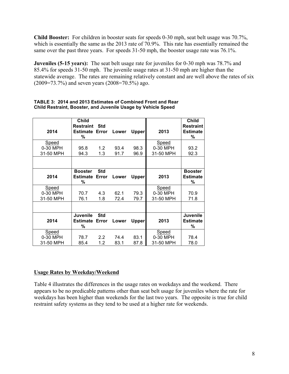**Child Booster:** For children in booster seats for speeds 0-30 mph, seat belt usage was 70.7%, which is essentially the same as the 2013 rate of 70.9%. This rate has essentially remained the same over the past three years. For speeds 31-50 mph, the booster usage rate was 76.1%.

**Juveniles (5-15 years):** The seat belt usage rate for juveniles for 0-30 mph was 78.7% and 85.4% for speeds 31-50 mph. The juvenile usage rates at 31-50 mph are higher than the statewide average. The rates are remaining relatively constant and are well above the rates of six (2009=73.7%) and seven years (2008=70.5%) ago.

| 2014      | <b>Child</b><br><b>Restraint</b><br><b>Estimate Error</b><br>% | Std                 | Lower | <b>Upper</b> | 2013      | <b>Child</b><br><b>Restraint</b><br><b>Estimate</b><br>% |
|-----------|----------------------------------------------------------------|---------------------|-------|--------------|-----------|----------------------------------------------------------|
| Speed     |                                                                |                     |       |              | Speed     |                                                          |
| 0-30 MPH  | 95.8                                                           | 1.2                 | 93.4  | 98.3         | 0-30 MPH  | 93.2                                                     |
| 31-50 MPH | 94.3                                                           | 1.3                 | 91.7  | 96.9         | 31-50 MPH | 92.3                                                     |
|           |                                                                |                     |       |              |           |                                                          |
| 2014      | <b>Booster</b><br>Estimate<br>%                                | <b>Std</b><br>Error | Lower | <b>Upper</b> | 2013      | <b>Booster</b><br><b>Estimate</b><br>%                   |
| Speed     |                                                                |                     |       |              | Speed     |                                                          |
| 0-30 MPH  | 70.7                                                           | 4.3                 | 62.1  | 79.3         | 0-30 MPH  | 70.9                                                     |
| 31-50 MPH | 76.1                                                           | 1.8                 | 72.4  | 79.7         | 31-50 MPH | 71.8                                                     |
|           |                                                                |                     |       |              |           |                                                          |
| 2014      | <b>Juvenile</b><br>Estimate<br>%                               | <b>Std</b><br>Error | Lower | <b>Upper</b> | 2013      | Juvenile<br><b>Estimate</b><br>%                         |
| Speed     |                                                                |                     |       |              | Speed     |                                                          |
| 0-30 MPH  | 78.7                                                           | 2.2                 | 74.4  | 83.1         | 0-30 MPH  | 78.4                                                     |
| 31-50 MPH | 85.4                                                           | 1.2                 | 83.1  | 87.8         | 31-50 MPH | 78.0                                                     |

#### **TABLE 3: 2014 and 2013 Estimates of Combined Front and Rear Child Restraint, Booster, and Juvenile Usage by Vehicle Speed**

### **Usage Rates by Weekday/Weekend**

Table 4 illustrates the differences in the usage rates on weekdays and the weekend. There appears to be no predicable patterns other than seat belt usage for juveniles where the rate for weekdays has been higher than weekends for the last two years. The opposite is true for child restraint safety systems as they tend to be used at a higher rate for weekends.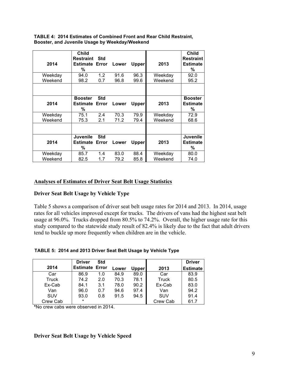|         | <b>Child</b><br><b>Restraint</b> | <b>Std</b> |       |       |         | <b>Child</b><br><b>Restraint</b> |
|---------|----------------------------------|------------|-------|-------|---------|----------------------------------|
| 2014    | <b>Estimate Error</b><br>%       |            | Lower | Upper | 2013    | <b>Estimate</b><br>%             |
| Weekday | 94.0                             | 1.2        | 91.6  | 96.3  | Weekday | 92.0                             |
| Weekend | 98.2                             | 0.7        | 96.8  | 99.6  | Weekend | 95.2                             |
|         |                                  |            |       |       |         |                                  |
|         | <b>Booster</b>                   | <b>Std</b> |       |       |         | <b>Booster</b>                   |
| 2014    | <b>Estimate</b>                  | Error      | Lower | Upper | 2013    | <b>Estimate</b>                  |
|         | %                                |            |       |       |         | %                                |
| Weekday | 75.1                             | 2.4        | 70.3  | 79.9  | Weekday | 72.9                             |
| Weekend | 75.3                             | 2.1        | 71.2  | 79.4  | Weekend | 68.6                             |
|         |                                  |            |       |       |         |                                  |
|         | Juvenile                         | <b>Std</b> |       |       |         | <b>Juvenile</b>                  |
| 2014    | <b>Estimate</b>                  | Error      | Lower | Upper | 2013    | <b>Estimate</b>                  |
|         | %                                |            |       |       |         | %                                |
| Weekday | 85.7                             | 1.4        | 83.0  | 88.4  | Weekday | 80.0                             |
| Weekend | 82.5                             | 1.7        | 79.2  | 85.8  | Weekend | 74.0                             |

**TABLE 4: 2014 Estimates of Combined Front and Rear Child Restraint, Booster, and Juvenile Usage by Weekday/Weekend**

#### **Analyses of Estimates of Driver Seat Belt Usage Statistics**

### **Driver Seat Belt Usage by Vehicle Type**

Table 5 shows a comparison of driver seat belt usage rates for 2014 and 2013. In 2014, usage rates for all vehicles improved except for trucks. The drivers of vans had the highest seat belt usage at 96.0%. Trucks dropped from 80.5% to 74.2%. Overall, the higher usage rate for this study compared to the statewide study result of 82.4% is likely due to the fact that adult drivers tend to buckle up more frequently when children are in the vehicle.

| TABLE 5: 2014 and 2013 Driver Seat Belt Usage by Vehicle Type |  |  |
|---------------------------------------------------------------|--|--|
|                                                               |  |  |

|            | <b>Driver</b>         | Std |       |              |            | <b>Driver</b>   |
|------------|-----------------------|-----|-------|--------------|------------|-----------------|
| 2014       | <b>Estimate Error</b> |     | Lower | <b>Upper</b> | 2013       | <b>Estimate</b> |
| Car        | 86.9                  | 1.0 | 84.9  | 89.0         | Car        | 83.9            |
| Truck      | 74.2                  | 2.0 | 70.3  | 78.1         | Truck      | 80.5            |
| Ex-Cab     | 84.1                  | 3.1 | 78.0  | 90.2         | Ex-Cab     | 83.0            |
| Van        | 96.0                  | 0.7 | 94.6  | 97.4         | Van        | 94.2            |
| <b>SUV</b> | 93.0                  | 0.8 | 91.5  | 94.5         | <b>SUV</b> | 91.4            |
| Crew Cab   | $\star$               |     |       |              | Crew Cab   | 61.7            |

**\***No crew cabs were observed in 2014.

#### **Driver Seat Belt Usage by Vehicle Speed**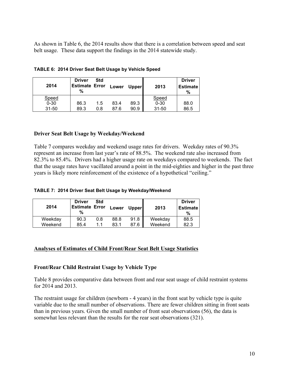As shown in Table 6, the 2014 results show that there is a correlation between speed and seat belt usage. These data support the findings in the 2014 statewide study.

| 2014         | <b>Driver</b><br><b>Estimate Error</b><br>% | <b>Std</b> | Lower | <b>Upper</b> | 2013      | <b>Driver</b><br><b>Estimate</b><br>% |
|--------------|---------------------------------------------|------------|-------|--------------|-----------|---------------------------------------|
| <b>Speed</b> |                                             |            |       |              | Speed     |                                       |
| $0 - 30$     | 86.3                                        | 1.5        | 83.4  | 89.3         | $0 - 30$  | 88.0                                  |
| $31 - 50$    | 89.3                                        | 0.8        | 87.6  | 90.9         | $31 - 50$ | 86.5                                  |

**TABLE 6: 2014 Driver Seat Belt Usage by Vehicle Speed**

#### **Driver Seat Belt Usage by Weekday/Weekend**

Table 7 compares weekday and weekend usage rates for drivers. Weekday rates of 90.3% represent an increase from last year's rate of 88.5%. The weekend rate also increased from 82.3% to 85.4%. Drivers had a higher usage rate on weekdays compared to weekends. The fact that the usage rates have vacillated around a point in the mid-eighties and higher in the past three years is likely more reinforcement of the existence of a hypothetical "ceiling."

#### **TABLE 7: 2014 Driver Seat Belt Usage by Weekday/Weekend**

| 2014    | <b>Driver</b><br><b>Estimate Error</b><br>% | Std | Lower | <b>Upper</b> | 2013    | <b>Driver</b><br><b>Estimate</b><br>% |
|---------|---------------------------------------------|-----|-------|--------------|---------|---------------------------------------|
| Weekday | 90.3                                        | 0.8 | 88.8  | 91.8         | Weekday | 88.5                                  |
| Weekend | 85.4                                        | 11  | 83.1  | 87.6         | Weekend | 82.3                                  |

### **Analyses of Estimates of Child Front/Rear Seat Belt Usage Statistics**

### **Front/Rear Child Restraint Usage by Vehicle Type**

Table 8 provides comparative data between front and rear seat usage of child restraint systems for 2014 and 2013.

The restraint usage for children (newborn - 4 years) in the front seat by vehicle type is quite variable due to the small number of observations. There are fewer children sitting in front seats than in previous years. Given the small number of front seat observations (56), the data is somewhat less relevant than the results for the rear seat observations (321).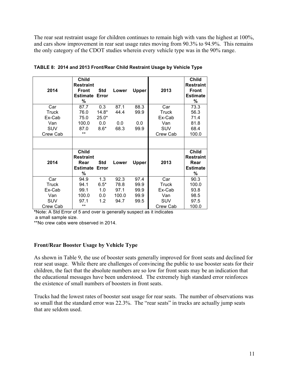The rear seat restraint usage for children continues to remain high with vans the highest at 100%, and cars show improvement in rear seat usage rates moving from 90.3% to 94.9%. This remains the only category of the CDOT studies wherein every vehicle type was in the 90% range.

| 2014       | <b>Child</b><br><b>Restraint</b><br><b>Front</b><br><b>Estimate</b><br>% | Std<br>Error | Lower | <b>Upper</b> | 2013       | <b>Child</b><br><b>Restraint</b><br><b>Front</b><br><b>Estimate</b><br>% |
|------------|--------------------------------------------------------------------------|--------------|-------|--------------|------------|--------------------------------------------------------------------------|
| Car        | 87.7                                                                     | 0.3          | 87.1  | 88.3         | Car        | 73.3                                                                     |
| Truck      | 76.0                                                                     | $14.8*$      | 44.4  | 99.9         | Truck      | 56.3                                                                     |
| Ex-Cab     | 75.0                                                                     | $25.0*$      |       |              | Ex-Cab     | 71.4                                                                     |
| Van        | 100.0                                                                    | 0.0          | 0.0   | 0.0          | Van        | 81.8                                                                     |
| <b>SUV</b> | 87.0                                                                     | $8.6*$       | 68.3  | 99.9         | <b>SUV</b> | 68.4                                                                     |
| Crew Cab   | $***$                                                                    |              |       |              | Crew Cab   | 100.0                                                                    |
|            |                                                                          |              |       |              |            |                                                                          |
| 2014       | <b>Child</b><br><b>Restraint</b><br>Rear<br><b>Estimate Error</b><br>%   | <b>Std</b>   | Lower | <b>Upper</b> | 2013       | <b>Child</b><br><b>Restraint</b><br>Rear<br><b>Estimate</b><br>%         |
| Car        | 94.9                                                                     | 1.3          | 92.3  | 97.4         | Car        | 90.3                                                                     |
| Truck      | 94.1                                                                     | $6.5*$       | 78.8  | 99.9         | Truck      | 100.0                                                                    |
| Ex-Cab     | 99.1                                                                     | 1.0          | 97.1  | 99.9         | Ex-Cab     | 93.8                                                                     |
| Van        | 100.0                                                                    | 0.0          | 100.0 | 99.9         | Van        | 98.5                                                                     |
| <b>SUV</b> | 97.1                                                                     | 1.2          | 94.7  | 99.5         | <b>SUV</b> | 97.5                                                                     |
| Crew Cab   | $***$                                                                    |              |       |              | Crew Cab   | 100.0                                                                    |

|  |  |  |  | TABLE 8: 2014 and 2013 Front/Rear Child Restraint Usage by Vehicle Type |  |
|--|--|--|--|-------------------------------------------------------------------------|--|
|--|--|--|--|-------------------------------------------------------------------------|--|

**\***Note: A Std Error of 5 and over is generally suspect as it indicates a small sample size.

\*\*No crew cabs were observed in 2014.

#### **Front/Rear Booster Usage by Vehicle Type**

As shown in Table 9, the use of booster seats generally improved for front seats and declined for rear seat usage. While there are challenges of convincing the public to use booster seats for their children, the fact that the absolute numbers are so low for front seats may be an indication that the educational messages have been understood. The extremely high standard error reinforces the existence of small numbers of boosters in front seats.

Trucks had the lowest rates of booster seat usage for rear seats. The number of observations was so small that the standard error was 22.3%. The "rear seats" in trucks are actually jump seats that are seldom used.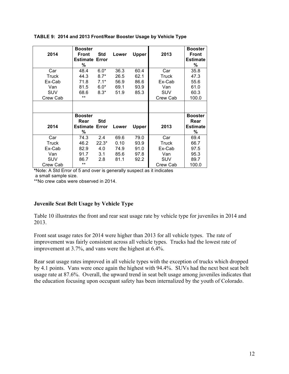| 2014       | <b>Booster</b><br>Front<br><b>Estimate</b><br>% | Std<br>Error | Lower | <b>Upper</b> | 2013       | <b>Booster</b><br><b>Front</b><br><b>Estimate</b><br>% |
|------------|-------------------------------------------------|--------------|-------|--------------|------------|--------------------------------------------------------|
| Car        | 48.4                                            | $6.0*$       | 36.3  | 60.4         | Car        | 35.8                                                   |
| Truck      | 44.3                                            | $8.7*$       | 26.5  | 62.1         | Truck      | 47.3                                                   |
| Ex-Cab     | 71.8                                            | $7.1*$       | 56.9  | 86.6         | Ex-Cab     | 55.6                                                   |
| Van        | 81.5                                            | $6.0*$       | 69.1  | 93.9         | Van        | 61.0                                                   |
| <b>SUV</b> | 68.6                                            | $8.3*$       | 51.9  | 85.3         | SUV        | 60.3                                                   |
| Crew Cab   | $***$                                           |              |       |              | Crew Cab   | 100.0                                                  |
|            |                                                 |              |       |              |            |                                                        |
|            | <b>Booster</b>                                  |              |       |              |            | <b>Booster</b>                                         |
|            | Rear                                            | <b>Std</b>   |       |              |            | Rear                                                   |
| 2014       | <b>Estimate Error</b>                           |              | Lower | <b>Upper</b> | 2013       | <b>Estimate</b>                                        |
|            | %                                               |              |       |              |            | %                                                      |
| Car        | 74.3                                            | 2.4          | 69.6  | 79.0         | Car        | 69.4                                                   |
| Truck      | 46.2                                            | $22.3*$      | 0.10  | 93.9         | Truck      | 66.7                                                   |
| Ex-Cab     | 82.9                                            | 4.0          | 74.9  | 91.0         | Ex-Cab     | 97.5                                                   |
| Van        | 91.7                                            | 3.1          | 85.6  | 97.8         | Van        | 95.3                                                   |
| <b>SUV</b> | 86.7                                            | 2.8          | 81.1  | 92.2         | <b>SUV</b> | 89.7                                                   |
| Crew Cab   | **                                              |              |       |              | Crew Cab   | 100.0                                                  |

#### **TABLE 9: 2014 and 2013 Front/Rear Booster Usage by Vehicle Type**

**\***Note: A Std Error of 5 and over is generally suspect as it indicates a small sample size.

\*\*No crew cabs were observed in 2014.

### **Juvenile Seat Belt Usage by Vehicle Type**

Table 10 illustrates the front and rear seat usage rate by vehicle type for juveniles in 2014 and 2013.

Front seat usage rates for 2014 were higher than 2013 for all vehicle types. The rate of improvement was fairly consistent across all vehicle types. Trucks had the lowest rate of improvement at 3.7%, and vans were the highest at 6.4%.

Rear seat usage rates improved in all vehicle types with the exception of trucks which dropped by 4.1 points. Vans were once again the highest with 94.4%. SUVs had the next best seat belt usage rate at 87.6%. Overall, the upward trend in seat belt usage among juveniles indicates that the education focusing upon occupant safety has been internalized by the youth of Colorado.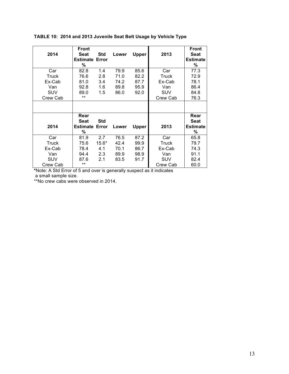| 2014       | Front<br>Seat        | Std     | Lower | <b>Upper</b> | 2013       | <b>Front</b><br><b>Seat</b> |
|------------|----------------------|---------|-------|--------------|------------|-----------------------------|
|            | <b>Estimate</b><br>% | Error   |       |              |            | <b>Estimate</b><br>%        |
| Car        | 82.8                 | 1.4     | 79.9  | 85.6         | Car        | 77.3                        |
| Truck      | 76.6                 | 2.8     | 71.0  | 82.2         | Truck      | 72.9                        |
| Ex-Cab     | 81.0                 | 3.4     | 74.2  | 87.7         | Ex-Cab     | 78.1                        |
| Van        | 92.8                 | 1.6     | 89.8  | 95.9         | Van        | 86.4                        |
| <b>SUV</b> | 89.0                 | 1.5     | 86.0  | 92.0         | <b>SUV</b> | 84.8                        |
| Crew Cab   | $***$                |         |       |              | Crew Cab   | 76.3                        |
|            |                      |         |       |              |            |                             |
|            | Rear                 |         |       |              |            | Rear                        |
|            | Seat                 | Std     |       |              |            | <b>Seat</b>                 |
| 2014       | <b>Estimate</b>      | Error   | Lower | Upper        | 2013       | <b>Estimate</b>             |
|            | %                    |         |       |              |            | %                           |
| Car        | 81.9                 | 2.7     | 76.5  | 87.2         | Car        | 65.8                        |
| Truck      | 75.6                 | $15.6*$ | 42.4  | 99.9         | Truck      | 79.7                        |
| Ex-Cab     | 78.4                 | 4.1     | 70.1  | 86.7         | Ex-Cab     | 74.3                        |
| Van        | 94.4                 | 2.3     | 89.9  | 98.9         | Van        | 91.1                        |
| <b>SUV</b> | 87.6                 | 2.1     | 83.5  | 91.7         | <b>SUV</b> | 82.4                        |
| Crew Cab   | $***$                |         |       |              | Crew Cab   | 60.0                        |

### **TABLE 10: 2014 and 2013 Juvenile Seat Belt Usage by Vehicle Type**

**\***Note: A Std Error of 5 and over is generally suspect as it indicates a small sample size.

\*\*No crew cabs were observed in 2014.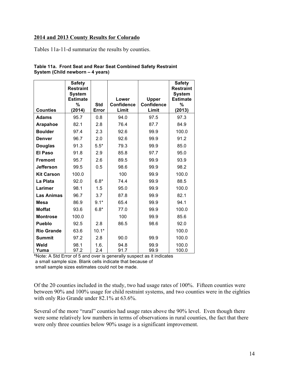#### **2014 and 2013 County Results for Colorado**

Tables 11a-11-d summarize the results by counties.

|                   | <b>Safety</b><br><b>Restraint</b><br><b>System</b><br><b>Estimate</b> |                     | Lower                      | <b>Upper</b>               | <b>Safety</b><br><b>Restraint</b><br><b>System</b><br><b>Estimate</b> |
|-------------------|-----------------------------------------------------------------------|---------------------|----------------------------|----------------------------|-----------------------------------------------------------------------|
| <b>Counties</b>   | %<br>(2014)                                                           | <b>Std</b><br>Error | <b>Confidence</b><br>Limit | <b>Confidence</b><br>Limit | %<br>(2013)                                                           |
| <b>Adams</b>      | 95.7                                                                  | 0.8                 | 94.0                       | 97.5                       | 97.3                                                                  |
| Arapahoe          | 82.1                                                                  | 2.8                 | 76.4                       | 87.7                       | 84.9                                                                  |
| <b>Boulder</b>    | 97.4                                                                  | 2.3                 | 92.6                       | 99.9                       | 100.0                                                                 |
| <b>Denver</b>     | 96.7                                                                  | 2.0                 | 92.6                       | 99.9                       | 91.2                                                                  |
| <b>Douglas</b>    | 91.3                                                                  | $5.5*$              | 79.3                       | 99.9                       | 85.0                                                                  |
| <b>El Paso</b>    | 91.8                                                                  | 2.9                 | 85.8                       | 97.7                       | 95.0                                                                  |
| <b>Fremont</b>    | 95.7                                                                  | 2.6                 | 89.5                       | 99.9                       | 93.9                                                                  |
| <b>Jefferson</b>  | 99.5                                                                  | 0.5                 | 98.6                       | 99.9                       | 98.2                                                                  |
| <b>Kit Carson</b> | 100.0                                                                 |                     | 100                        | 99.9                       | 100.0                                                                 |
| La Plata          | 92.0                                                                  | $6.8*$              | 74.4                       | 99.9                       | 88.5                                                                  |
| Larimer           | 98.1                                                                  | 1.5                 | 95.0                       | 99.9                       | 100.0                                                                 |
| <b>Las Animas</b> | 96.7                                                                  | 3.7                 | 87.8                       | 99.9                       | 82.1                                                                  |
| <b>Mesa</b>       | 86.9                                                                  | $9.1*$              | 65.4                       | 99.9                       | 94.1                                                                  |
| <b>Moffat</b>     | 93.6                                                                  | $6.8*$              | 77.0                       | 99.9                       | 100.0                                                                 |
| <b>Montrose</b>   | 100.0                                                                 |                     | 100                        | 99.9                       | 85.6                                                                  |
| <b>Pueblo</b>     | 92.5                                                                  | 2.8                 | 86.5                       | 98.6                       | 92.0                                                                  |
| <b>Rio Grande</b> | 63.6                                                                  | $10.1*$             |                            |                            | 100.0                                                                 |
| <b>Summit</b>     | 97.2                                                                  | 2.8                 | 90.0                       | 99.9                       | 100.0                                                                 |
| Weld<br>Yuma      | 98.1<br>97.2                                                          | 1.6.<br>2.4         | 94.8<br>91.7               | 99.9<br>99.9               | 100.0<br>100.0                                                        |

| Table 11a. Front Seat and Rear Seat Combined Safety Restraint |  |  |
|---------------------------------------------------------------|--|--|
| System (Child newborn - 4 years)                              |  |  |

**\***Note: A Std Error of 5 and over is generally suspect as it indicates a small sample size. Blank cells indicate that because of small sample sizes estimates could not be made.

Of the 20 counties included in the study, two had usage rates of 100%. Fifteen counties were between 90% and 100% usage for child restraint systems, and two counties were in the eighties with only Rio Grande under 82.1% at 63.6%.

Several of the more "rural" counties had usage rates above the 90% level. Even though there were some relatively low numbers in terms of observations in rural counties, the fact that there were only three counties below 90% usage is a significant improvement.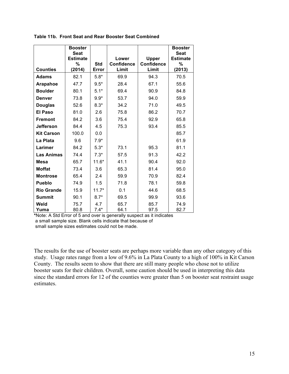|                   | <b>Booster</b>  |            |                   |                   | <b>Booster</b>  |
|-------------------|-----------------|------------|-------------------|-------------------|-----------------|
|                   | <b>Seat</b>     |            |                   |                   | <b>Seat</b>     |
|                   | <b>Estimate</b> |            | Lower             | <b>Upper</b>      | <b>Estimate</b> |
|                   | %               | <b>Std</b> | <b>Confidence</b> | <b>Confidence</b> | %               |
| <b>Counties</b>   | (2014)          | Error      | Limit             | Limit             | (2013)          |
| <b>Adams</b>      | 82.1            | $5.8*$     | 69.9              | 94.3              | 70.5            |
| Arapahoe          | 47.7            | $9.5*$     | 28.4              | 67.1              | 55.6            |
| <b>Boulder</b>    | 80.1            | $5.1*$     | 69.4              | 90.9              | 84.8            |
| <b>Denver</b>     | 73.8            | $9.9*$     | 53.7              | 94.0              | 59.9            |
| <b>Douglas</b>    | 52.6            | $8.3*$     | 34.2              | 71.0              | 49.5            |
| <b>El Paso</b>    | 81.0            | 2.6        | 75.8              | 86.2              | 70.7            |
| <b>Fremont</b>    | 84.2            | 3.6        | 75.4              | 92.9              | 65.8            |
| <b>Jefferson</b>  | 84.4            | 4.5        | 75.3              | 93.4              | 85.5            |
| <b>Kit Carson</b> | 100.0           | 0.0        |                   |                   | 85.7            |
| La Plata          | 9.6             | $7.9*$     |                   |                   | 61.9            |
| Larimer           | 84.2            | $5.3*$     | 73.1              | 95.3              | 81.1            |
| <b>Las Animas</b> | 74.4            | $7.3*$     | 57.5              | 91.3              | 42.2            |
| <b>Mesa</b>       | 65.7            | $11.6*$    | 41.1              | 90.4              | 92.0            |
| <b>Moffat</b>     | 73.4            | 3.6        | 65.3              | 81.4              | 95.0            |
| <b>Montrose</b>   | 65.4            | 2.4        | 59.9              | 70.9              | 82.4            |
| <b>Pueblo</b>     | 74.9            | 1.5        | 71.8              | 78.1              | 59.8            |
| <b>Rio Grande</b> | 15.9            | $11.7*$    | 0.1               | 44.6              | 68.5            |
| <b>Summit</b>     | 90.1            | $8.7*$     | 69.5              | 99.9              | 93.6            |
| Weld              | 75.7            | 4.7        | 65.7              | 85.7              | 74.9            |
| Yuma              | 80.8            | $7.4*$     | 64.1              | 97.5              | 82.7            |

**Table 11b. Front Seat and Rear Booster Seat Combined**

**\***Note: A Std Error of 5 and over is generally suspect as it indicates a small sample size. Blank cells indicate that because of small sample sizes estimates could not be made.

The results for the use of booster seats are perhaps more variable than any other category of this study. Usage rates range from a low of 9.6% in La Plata County to a high of 100% in Kit Carson County. The results seem to show that there are still many people who chose not to utilize booster seats for their children. Overall, some caution should be used in interpreting this data since the standard errors for 12 of the counties were greater than 5 on booster seat restraint usage estimates.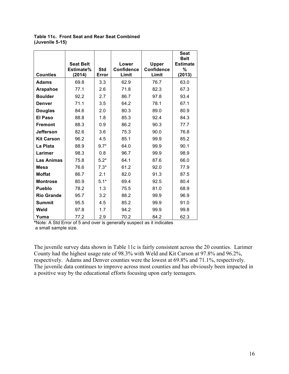|                   |                  |            |                   |                   | <b>Seat</b><br><b>Belt</b> |
|-------------------|------------------|------------|-------------------|-------------------|----------------------------|
|                   | <b>Seat Belt</b> |            | Lower             | <b>Upper</b>      | <b>Estimate</b>            |
|                   | Estimate%        | <b>Std</b> | <b>Confidence</b> | <b>Confidence</b> | %                          |
| <b>Counties</b>   | (2014)           | Error      | Limit             | Limit             | (2013)                     |
| <b>Adams</b>      | 69.8             | 3.3        | 62.9              | 76.7              | 63.0                       |
| Arapahoe          | 77.1             | 2.6        | 71.8              | 82.3              | 67.3                       |
| <b>Boulder</b>    | 92.2             | 2.7        | 86.7              | 97.8              | 93.4                       |
| <b>Denver</b>     | 71.1             | 3.5        | 64.2              | 78.1              | 67.1                       |
| <b>Douglas</b>    | 84.6             | 2.0        | 80.3              | 89.0              | 80.9                       |
| <b>El Paso</b>    | 88.8             | 1.8        | 85.3              | 92.4              | 84.3                       |
| <b>Fremont</b>    | 88.3             | 0.9        | 86.2              | 90.3              | 77.7                       |
| <b>Jefferson</b>  | 82.6             | 3.6        | 75.3              | 90.0              | 76.8                       |
| <b>Kit Carson</b> | 96.2             | 4.5        | 85.1              | 99.9              | 85.2                       |
| La Plata          | 88.9             | $9.7*$     | 64.0              | 99.9              | 90.1                       |
| Larimer           | 98.3             | 0.8        | 96.7              | 99.9              | 98.9                       |
| <b>Las Animas</b> | 75.8             | $5.2*$     | 64.1              | 87.6              | 66.0                       |
| <b>Mesa</b>       | 76.6             | $7.3*$     | 61.2              | 92.0              | 77.9                       |
| <b>Moffat</b>     | 86.7             | 2.1        | 82.0              | 91.3              | 87.5                       |
| <b>Montrose</b>   | 80.9             | $5.1*$     | 69.4              | 92.5              | 80.4                       |
| <b>Pueblo</b>     | 78.2             | 1.3        | 75.5              | 81.0              | 68.9                       |
| <b>Rio Grande</b> | 95.7             | 3.2        | 88.2              | 99.9              | 96.9                       |
| <b>Summit</b>     | 95.5             | 4.5        | 85.2              | 99.9              | 91.0                       |
| Weld              | 97.8             | 1.7        | 94.2              | 99.9              | 99.8                       |
| Yuma              | 77.2             | 2.9        | 70.2              | 84.2              | 62.3                       |

**Table 11c. Front Seat and Rear Seat Combined (Juvenile 5-15)**

**\***Note: A Std Error of 5 and over is generally suspect as it indicates a small sample size.

The juvenile survey data shown in Table 11c is fairly consistent across the 20 counties. Larimer County had the highest usage rate of 98.3% with Weld and Kit Carson at 97.8% and 96.2%, respectively. Adams and Denver counties were the lowest at 69.8% and 71.1%, respectively. The juvenile data continues to improve across most counties and has obviously been impacted in a positive way by the educational efforts focusing upon early teenagers.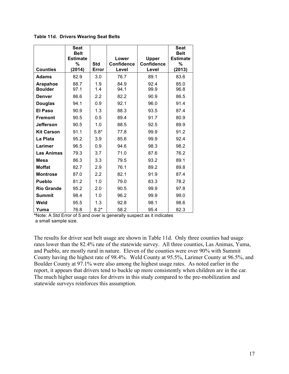**Table 11d. Drivers Wearing Seat Belts**

|                   | <b>Seat</b><br><b>Belt</b><br><b>Estimate</b> |            | Lower             |                                   | <b>Seat</b><br><b>Belt</b><br><b>Estimate</b> |
|-------------------|-----------------------------------------------|------------|-------------------|-----------------------------------|-----------------------------------------------|
|                   | %                                             | <b>Std</b> | <b>Confidence</b> | <b>Upper</b><br><b>Confidence</b> | $\%$                                          |
| <b>Counties</b>   | (2014)                                        | Error      | Level             | Level                             | (2013)                                        |
| <b>Adams</b>      | 82.9                                          | 3.0        | 76.7              | 89.1                              | 83.6                                          |
| Arapahoe          | 88.7                                          | 1.9        | 84.9              | 92.4                              | 85.0                                          |
| <b>Boulder</b>    | 97.1                                          | 1.4        | 94.1              | 99.9                              | 96.8                                          |
| <b>Denver</b>     | 86.6                                          | 2.2        | 82.2              | 90.9                              | 86.5                                          |
| <b>Douglas</b>    | 94.1                                          | 0.9        | 92.1              | 96.0                              | 91.4                                          |
| <b>El Paso</b>    | 90.9                                          | 1.3        | 88.3              | 93.5                              | 87.4                                          |
| <b>Fremont</b>    | 90.5                                          | 0.5        | 89.4              | 91.7                              | 80.9                                          |
| <b>Jefferson</b>  | 90.5                                          | 1.0        | 88.5              | 92.5                              | 89.9                                          |
| <b>Kit Carson</b> | 91.1                                          | $5.8*$     | 77.8              | 99.9                              | 91.2                                          |
| La Plata          | 95.2                                          | 3.9        | 85.6              | 99.9                              | 92.4                                          |
| Larimer           | 96.5                                          | 0.9        | 94.6              | 98.3                              | 98.2                                          |
| <b>Las Animas</b> | 79.3                                          | 3.7        | 71.0              | 87.6                              | 76.2                                          |
| <b>Mesa</b>       | 86.3                                          | 3.3        | 79.5              | 93.2                              | 89.1                                          |
| <b>Moffat</b>     | 82.7                                          | 2.9        | 76.1              | 89.2                              | 89.8                                          |
| <b>Montrose</b>   | 87.0                                          | 2.2        | 82.1              | 91.9                              | 87.4                                          |
| <b>Pueblo</b>     | 81.2                                          | 1.0        | 79.0              | 83.3                              | 78.2                                          |
| <b>Rio Grande</b> | 95.2                                          | 2.0        | 90.5              | 99.9                              | 97.8                                          |
| <b>Summit</b>     | 98.4                                          | 1.0        | 96.2              | 99.9                              | 99.0                                          |
| Weld              | 95.5                                          | 1.3        | 92.8              | 98.1                              | 98.6                                          |
| Yuma              | 76.8                                          | $8.2*$     | 58.2              | 95.4                              | 82.3                                          |

**\***Note: A Std Error of 5 and over is generally suspect as it indicates

a small sample size.

The results for driver seat belt usage are shown in Table 11d. Only three counties had usage rates lower than the 82.4% rate of the statewide survey. All three counties, Las Animas, Yuma, and Pueblo, are mostly rural in nature. Eleven of the counties were over 90% with Summit County having the highest rate of 98.4%. Weld County at 95.5%, Larimer County at 96.5%, and Boulder County at 97.1% were also among the highest usage rates. As noted earlier in the report, it appears that drivers tend to buckle up more consistently when children are in the car. The much higher usage rates for drivers in this study compared to the pre-mobilization and statewide surveys reinforces this assumption.